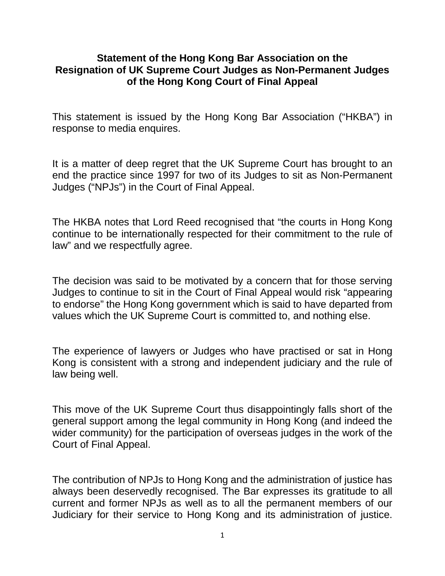## **Statement of the Hong Kong Bar Association on the Resignation of UK Supreme Court Judges as Non-Permanent Judges of the Hong Kong Court of Final Appeal**

This statement is issued by the Hong Kong Bar Association ("HKBA") in response to media enquires.

It is a matter of deep regret that the UK Supreme Court has brought to an end the practice since 1997 for two of its Judges to sit as Non-Permanent Judges ("NPJs") in the Court of Final Appeal.

The HKBA notes that Lord Reed recognised that "the courts in Hong Kong continue to be internationally respected for their commitment to the rule of law" and we respectfully agree.

The decision was said to be motivated by a concern that for those serving Judges to continue to sit in the Court of Final Appeal would risk "appearing to endorse" the Hong Kong government which is said to have departed from values which the UK Supreme Court is committed to, and nothing else.

The experience of lawyers or Judges who have practised or sat in Hong Kong is consistent with a strong and independent judiciary and the rule of law being well.

This move of the UK Supreme Court thus disappointingly falls short of the general support among the legal community in Hong Kong (and indeed the wider community) for the participation of overseas judges in the work of the Court of Final Appeal.

The contribution of NPJs to Hong Kong and the administration of justice has always been deservedly recognised. The Bar expresses its gratitude to all current and former NPJs as well as to all the permanent members of our Judiciary for their service to Hong Kong and its administration of justice.